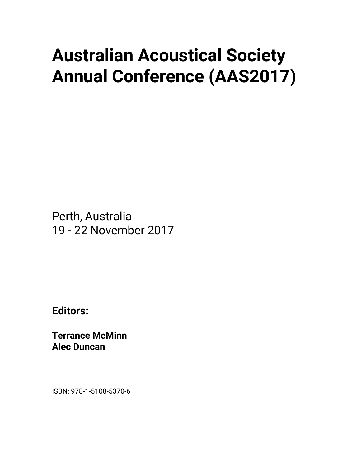## **Australian Acoustical Society Annual Conference (AAS2017)**

Perth, Australia 19 - 22 November 2017

**Editors:** 

**Terrance McMinn Alec Duncan** 

ISBN: 978-1-5108-5370-6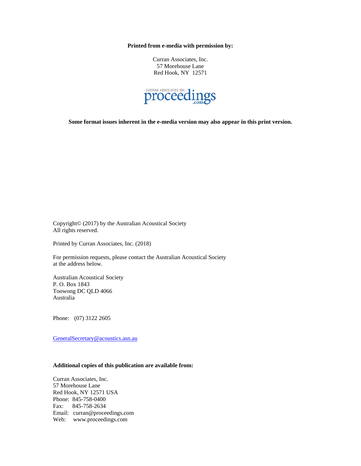**Printed from e-media with permission by:** 

Curran Associates, Inc. 57 Morehouse Lane Red Hook, NY 12571



**Some format issues inherent in the e-media version may also appear in this print version.** 

Copyright© (2017) by the Australian Acoustical Society All rights reserved.

Printed by Curran Associates, Inc. (2018)

For permission requests, please contact the Australian Acoustical Society at the address below.

Australian Acoustical Society P. O. Box 1843 Toowong DC QLD 4066 Australia

Phone: (07) 3122 2605

GeneralSecretary@acoustics.asn.au

## **Additional copies of this publication are available from:**

Curran Associates, Inc. 57 Morehouse Lane Red Hook, NY 12571 USA Phone: 845-758-0400 Fax: 845-758-2634 Email: curran@proceedings.com Web: www.proceedings.com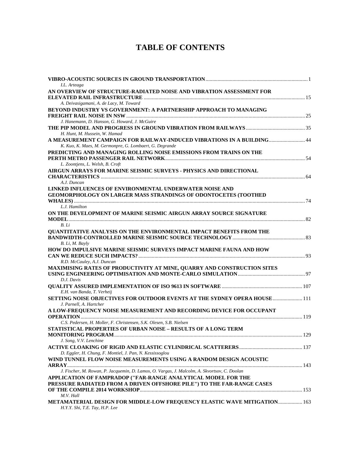## **TABLE OF CONTENTS**

| AN OVERVIEW OF STRUCTURE-RADIATED NOISE AND VIBRATION ASSESSMENT FOR<br>A. Deivasigamani, A. de Lacy, M. Toward<br>BEYOND INDUSTRY VS GOVERNMENT: A PARTNERSHIP APPROACH TO MANAGING<br>J. Hanemann, D. Hanson, G. Howard, J. McGuire<br>H. Hunt, M. Hussein, W. Hamad<br>A MEASUREMENT CAMPAIGN FOR RAILWAY-INDUCED VIBRATIONS IN A BUILDING 44<br>K. Kuo, K. Maes, M. Germonpre, G. Lombaert, G. Degrande<br>PREDICTING AND MANAGING ROLLING NOISE EMISSIONS FROM TRAINS ON THE<br>L. Zoontjens, L. Welsh, B. Croft<br>AIRGUN ARRAYS FOR MARINE SEISMIC SURVEYS - PHYSICS AND DIRECTIONAL<br>A.J. Duncan<br><b>LINKED INFLUENCES OF ENVIRONMENTAL UNDERWATER NOISE AND</b><br><b>GEOMORPHOLOGY ON LARGER MASS STRANDINGS OF ODONTOCETES (TOOTHED</b><br>L.J. Hamilton<br>ON THE DEVELOPMENT OF MARINE SEISMIC AIRGUN ARRAY SOURCE SIGNATURE<br>B. Li<br><b>QUANTITATIVE ANALYSIS ON THE ENVIRONMENTAL IMPACT BENEFITS FROM THE</b><br>B. Li, M. Bayly<br>HOW DO IMPULSIVE MARINE SEISMIC SURVEYS IMPACT MARINE FAUNA AND HOW<br>R.D. McCauley, A.J. Duncan<br><b>MAXIMISING RATES OF PRODUCTIVITY AT MINE, QUARRY AND CONSTRUCTION SITES</b><br>D.J. Davis<br>E.H. van Banda, T. Verheij<br>SETTING NOISE OBJECTIVES FOR OUTDOOR EVENTS AT THE SYDNEY OPERA HOUSE 111<br>J. Parnell, A. Hartcher<br>A LOW-FREQUENCY NOISE MEASUREMENT AND RECORDING DEVICE FOR OCCUPANT<br>C.S. Pedersen, H. Moller, F. Christensen, S.K. Olesen, S.B. Nielsen<br>STATISTICAL PROPERTIES OF URBAN NOISE - RESULTS OF A LONG TERM<br>J. Song, V.V. Lenchine<br>D. Eggler, H. Chung, F. Montiel, J. Pan, N. Kessissoglou<br>WIND TUNNEL FLOW NOISE MEASUREMENTS USING A RANDOM DESIGN ACOUSTIC<br>J. Fischer, M. Rowan, P. Jacquemin, D. Lamos, O. Vargas, J. Malcolm, A. Skvortsov, C. Doolan<br>APPLICATION OF FAMPRADOP ("FAR-RANGE ANALYTICAL MODEL FOR THE<br>PRESSURE RADIATED FROM A DRIVEN OFFSHORE PILE") TO THE FAR-RANGE CASES<br>M.V. Hall<br>METAMATERIAL DESIGN FOR MIDDLE-LOW FREQUENCY ELASTIC WAVE MITIGATION 163 |                                |  |
|--------------------------------------------------------------------------------------------------------------------------------------------------------------------------------------------------------------------------------------------------------------------------------------------------------------------------------------------------------------------------------------------------------------------------------------------------------------------------------------------------------------------------------------------------------------------------------------------------------------------------------------------------------------------------------------------------------------------------------------------------------------------------------------------------------------------------------------------------------------------------------------------------------------------------------------------------------------------------------------------------------------------------------------------------------------------------------------------------------------------------------------------------------------------------------------------------------------------------------------------------------------------------------------------------------------------------------------------------------------------------------------------------------------------------------------------------------------------------------------------------------------------------------------------------------------------------------------------------------------------------------------------------------------------------------------------------------------------------------------------------------------------------------------------------------------------------------------------------------------------------------------------------------------------------------------------------------------------------------------------------------------------|--------------------------------|--|
|                                                                                                                                                                                                                                                                                                                                                                                                                                                                                                                                                                                                                                                                                                                                                                                                                                                                                                                                                                                                                                                                                                                                                                                                                                                                                                                                                                                                                                                                                                                                                                                                                                                                                                                                                                                                                                                                                                                                                                                                                    | I.L. Arteaga                   |  |
|                                                                                                                                                                                                                                                                                                                                                                                                                                                                                                                                                                                                                                                                                                                                                                                                                                                                                                                                                                                                                                                                                                                                                                                                                                                                                                                                                                                                                                                                                                                                                                                                                                                                                                                                                                                                                                                                                                                                                                                                                    |                                |  |
|                                                                                                                                                                                                                                                                                                                                                                                                                                                                                                                                                                                                                                                                                                                                                                                                                                                                                                                                                                                                                                                                                                                                                                                                                                                                                                                                                                                                                                                                                                                                                                                                                                                                                                                                                                                                                                                                                                                                                                                                                    |                                |  |
|                                                                                                                                                                                                                                                                                                                                                                                                                                                                                                                                                                                                                                                                                                                                                                                                                                                                                                                                                                                                                                                                                                                                                                                                                                                                                                                                                                                                                                                                                                                                                                                                                                                                                                                                                                                                                                                                                                                                                                                                                    |                                |  |
|                                                                                                                                                                                                                                                                                                                                                                                                                                                                                                                                                                                                                                                                                                                                                                                                                                                                                                                                                                                                                                                                                                                                                                                                                                                                                                                                                                                                                                                                                                                                                                                                                                                                                                                                                                                                                                                                                                                                                                                                                    |                                |  |
|                                                                                                                                                                                                                                                                                                                                                                                                                                                                                                                                                                                                                                                                                                                                                                                                                                                                                                                                                                                                                                                                                                                                                                                                                                                                                                                                                                                                                                                                                                                                                                                                                                                                                                                                                                                                                                                                                                                                                                                                                    |                                |  |
|                                                                                                                                                                                                                                                                                                                                                                                                                                                                                                                                                                                                                                                                                                                                                                                                                                                                                                                                                                                                                                                                                                                                                                                                                                                                                                                                                                                                                                                                                                                                                                                                                                                                                                                                                                                                                                                                                                                                                                                                                    |                                |  |
|                                                                                                                                                                                                                                                                                                                                                                                                                                                                                                                                                                                                                                                                                                                                                                                                                                                                                                                                                                                                                                                                                                                                                                                                                                                                                                                                                                                                                                                                                                                                                                                                                                                                                                                                                                                                                                                                                                                                                                                                                    |                                |  |
|                                                                                                                                                                                                                                                                                                                                                                                                                                                                                                                                                                                                                                                                                                                                                                                                                                                                                                                                                                                                                                                                                                                                                                                                                                                                                                                                                                                                                                                                                                                                                                                                                                                                                                                                                                                                                                                                                                                                                                                                                    |                                |  |
|                                                                                                                                                                                                                                                                                                                                                                                                                                                                                                                                                                                                                                                                                                                                                                                                                                                                                                                                                                                                                                                                                                                                                                                                                                                                                                                                                                                                                                                                                                                                                                                                                                                                                                                                                                                                                                                                                                                                                                                                                    |                                |  |
|                                                                                                                                                                                                                                                                                                                                                                                                                                                                                                                                                                                                                                                                                                                                                                                                                                                                                                                                                                                                                                                                                                                                                                                                                                                                                                                                                                                                                                                                                                                                                                                                                                                                                                                                                                                                                                                                                                                                                                                                                    |                                |  |
|                                                                                                                                                                                                                                                                                                                                                                                                                                                                                                                                                                                                                                                                                                                                                                                                                                                                                                                                                                                                                                                                                                                                                                                                                                                                                                                                                                                                                                                                                                                                                                                                                                                                                                                                                                                                                                                                                                                                                                                                                    |                                |  |
|                                                                                                                                                                                                                                                                                                                                                                                                                                                                                                                                                                                                                                                                                                                                                                                                                                                                                                                                                                                                                                                                                                                                                                                                                                                                                                                                                                                                                                                                                                                                                                                                                                                                                                                                                                                                                                                                                                                                                                                                                    |                                |  |
|                                                                                                                                                                                                                                                                                                                                                                                                                                                                                                                                                                                                                                                                                                                                                                                                                                                                                                                                                                                                                                                                                                                                                                                                                                                                                                                                                                                                                                                                                                                                                                                                                                                                                                                                                                                                                                                                                                                                                                                                                    |                                |  |
|                                                                                                                                                                                                                                                                                                                                                                                                                                                                                                                                                                                                                                                                                                                                                                                                                                                                                                                                                                                                                                                                                                                                                                                                                                                                                                                                                                                                                                                                                                                                                                                                                                                                                                                                                                                                                                                                                                                                                                                                                    |                                |  |
|                                                                                                                                                                                                                                                                                                                                                                                                                                                                                                                                                                                                                                                                                                                                                                                                                                                                                                                                                                                                                                                                                                                                                                                                                                                                                                                                                                                                                                                                                                                                                                                                                                                                                                                                                                                                                                                                                                                                                                                                                    |                                |  |
|                                                                                                                                                                                                                                                                                                                                                                                                                                                                                                                                                                                                                                                                                                                                                                                                                                                                                                                                                                                                                                                                                                                                                                                                                                                                                                                                                                                                                                                                                                                                                                                                                                                                                                                                                                                                                                                                                                                                                                                                                    |                                |  |
|                                                                                                                                                                                                                                                                                                                                                                                                                                                                                                                                                                                                                                                                                                                                                                                                                                                                                                                                                                                                                                                                                                                                                                                                                                                                                                                                                                                                                                                                                                                                                                                                                                                                                                                                                                                                                                                                                                                                                                                                                    |                                |  |
|                                                                                                                                                                                                                                                                                                                                                                                                                                                                                                                                                                                                                                                                                                                                                                                                                                                                                                                                                                                                                                                                                                                                                                                                                                                                                                                                                                                                                                                                                                                                                                                                                                                                                                                                                                                                                                                                                                                                                                                                                    |                                |  |
|                                                                                                                                                                                                                                                                                                                                                                                                                                                                                                                                                                                                                                                                                                                                                                                                                                                                                                                                                                                                                                                                                                                                                                                                                                                                                                                                                                                                                                                                                                                                                                                                                                                                                                                                                                                                                                                                                                                                                                                                                    |                                |  |
|                                                                                                                                                                                                                                                                                                                                                                                                                                                                                                                                                                                                                                                                                                                                                                                                                                                                                                                                                                                                                                                                                                                                                                                                                                                                                                                                                                                                                                                                                                                                                                                                                                                                                                                                                                                                                                                                                                                                                                                                                    |                                |  |
|                                                                                                                                                                                                                                                                                                                                                                                                                                                                                                                                                                                                                                                                                                                                                                                                                                                                                                                                                                                                                                                                                                                                                                                                                                                                                                                                                                                                                                                                                                                                                                                                                                                                                                                                                                                                                                                                                                                                                                                                                    |                                |  |
|                                                                                                                                                                                                                                                                                                                                                                                                                                                                                                                                                                                                                                                                                                                                                                                                                                                                                                                                                                                                                                                                                                                                                                                                                                                                                                                                                                                                                                                                                                                                                                                                                                                                                                                                                                                                                                                                                                                                                                                                                    |                                |  |
|                                                                                                                                                                                                                                                                                                                                                                                                                                                                                                                                                                                                                                                                                                                                                                                                                                                                                                                                                                                                                                                                                                                                                                                                                                                                                                                                                                                                                                                                                                                                                                                                                                                                                                                                                                                                                                                                                                                                                                                                                    |                                |  |
|                                                                                                                                                                                                                                                                                                                                                                                                                                                                                                                                                                                                                                                                                                                                                                                                                                                                                                                                                                                                                                                                                                                                                                                                                                                                                                                                                                                                                                                                                                                                                                                                                                                                                                                                                                                                                                                                                                                                                                                                                    |                                |  |
|                                                                                                                                                                                                                                                                                                                                                                                                                                                                                                                                                                                                                                                                                                                                                                                                                                                                                                                                                                                                                                                                                                                                                                                                                                                                                                                                                                                                                                                                                                                                                                                                                                                                                                                                                                                                                                                                                                                                                                                                                    |                                |  |
|                                                                                                                                                                                                                                                                                                                                                                                                                                                                                                                                                                                                                                                                                                                                                                                                                                                                                                                                                                                                                                                                                                                                                                                                                                                                                                                                                                                                                                                                                                                                                                                                                                                                                                                                                                                                                                                                                                                                                                                                                    |                                |  |
|                                                                                                                                                                                                                                                                                                                                                                                                                                                                                                                                                                                                                                                                                                                                                                                                                                                                                                                                                                                                                                                                                                                                                                                                                                                                                                                                                                                                                                                                                                                                                                                                                                                                                                                                                                                                                                                                                                                                                                                                                    |                                |  |
|                                                                                                                                                                                                                                                                                                                                                                                                                                                                                                                                                                                                                                                                                                                                                                                                                                                                                                                                                                                                                                                                                                                                                                                                                                                                                                                                                                                                                                                                                                                                                                                                                                                                                                                                                                                                                                                                                                                                                                                                                    |                                |  |
|                                                                                                                                                                                                                                                                                                                                                                                                                                                                                                                                                                                                                                                                                                                                                                                                                                                                                                                                                                                                                                                                                                                                                                                                                                                                                                                                                                                                                                                                                                                                                                                                                                                                                                                                                                                                                                                                                                                                                                                                                    |                                |  |
|                                                                                                                                                                                                                                                                                                                                                                                                                                                                                                                                                                                                                                                                                                                                                                                                                                                                                                                                                                                                                                                                                                                                                                                                                                                                                                                                                                                                                                                                                                                                                                                                                                                                                                                                                                                                                                                                                                                                                                                                                    |                                |  |
|                                                                                                                                                                                                                                                                                                                                                                                                                                                                                                                                                                                                                                                                                                                                                                                                                                                                                                                                                                                                                                                                                                                                                                                                                                                                                                                                                                                                                                                                                                                                                                                                                                                                                                                                                                                                                                                                                                                                                                                                                    |                                |  |
|                                                                                                                                                                                                                                                                                                                                                                                                                                                                                                                                                                                                                                                                                                                                                                                                                                                                                                                                                                                                                                                                                                                                                                                                                                                                                                                                                                                                                                                                                                                                                                                                                                                                                                                                                                                                                                                                                                                                                                                                                    |                                |  |
|                                                                                                                                                                                                                                                                                                                                                                                                                                                                                                                                                                                                                                                                                                                                                                                                                                                                                                                                                                                                                                                                                                                                                                                                                                                                                                                                                                                                                                                                                                                                                                                                                                                                                                                                                                                                                                                                                                                                                                                                                    |                                |  |
|                                                                                                                                                                                                                                                                                                                                                                                                                                                                                                                                                                                                                                                                                                                                                                                                                                                                                                                                                                                                                                                                                                                                                                                                                                                                                                                                                                                                                                                                                                                                                                                                                                                                                                                                                                                                                                                                                                                                                                                                                    |                                |  |
|                                                                                                                                                                                                                                                                                                                                                                                                                                                                                                                                                                                                                                                                                                                                                                                                                                                                                                                                                                                                                                                                                                                                                                                                                                                                                                                                                                                                                                                                                                                                                                                                                                                                                                                                                                                                                                                                                                                                                                                                                    |                                |  |
|                                                                                                                                                                                                                                                                                                                                                                                                                                                                                                                                                                                                                                                                                                                                                                                                                                                                                                                                                                                                                                                                                                                                                                                                                                                                                                                                                                                                                                                                                                                                                                                                                                                                                                                                                                                                                                                                                                                                                                                                                    |                                |  |
|                                                                                                                                                                                                                                                                                                                                                                                                                                                                                                                                                                                                                                                                                                                                                                                                                                                                                                                                                                                                                                                                                                                                                                                                                                                                                                                                                                                                                                                                                                                                                                                                                                                                                                                                                                                                                                                                                                                                                                                                                    |                                |  |
|                                                                                                                                                                                                                                                                                                                                                                                                                                                                                                                                                                                                                                                                                                                                                                                                                                                                                                                                                                                                                                                                                                                                                                                                                                                                                                                                                                                                                                                                                                                                                                                                                                                                                                                                                                                                                                                                                                                                                                                                                    |                                |  |
|                                                                                                                                                                                                                                                                                                                                                                                                                                                                                                                                                                                                                                                                                                                                                                                                                                                                                                                                                                                                                                                                                                                                                                                                                                                                                                                                                                                                                                                                                                                                                                                                                                                                                                                                                                                                                                                                                                                                                                                                                    |                                |  |
|                                                                                                                                                                                                                                                                                                                                                                                                                                                                                                                                                                                                                                                                                                                                                                                                                                                                                                                                                                                                                                                                                                                                                                                                                                                                                                                                                                                                                                                                                                                                                                                                                                                                                                                                                                                                                                                                                                                                                                                                                    |                                |  |
|                                                                                                                                                                                                                                                                                                                                                                                                                                                                                                                                                                                                                                                                                                                                                                                                                                                                                                                                                                                                                                                                                                                                                                                                                                                                                                                                                                                                                                                                                                                                                                                                                                                                                                                                                                                                                                                                                                                                                                                                                    |                                |  |
|                                                                                                                                                                                                                                                                                                                                                                                                                                                                                                                                                                                                                                                                                                                                                                                                                                                                                                                                                                                                                                                                                                                                                                                                                                                                                                                                                                                                                                                                                                                                                                                                                                                                                                                                                                                                                                                                                                                                                                                                                    |                                |  |
|                                                                                                                                                                                                                                                                                                                                                                                                                                                                                                                                                                                                                                                                                                                                                                                                                                                                                                                                                                                                                                                                                                                                                                                                                                                                                                                                                                                                                                                                                                                                                                                                                                                                                                                                                                                                                                                                                                                                                                                                                    |                                |  |
|                                                                                                                                                                                                                                                                                                                                                                                                                                                                                                                                                                                                                                                                                                                                                                                                                                                                                                                                                                                                                                                                                                                                                                                                                                                                                                                                                                                                                                                                                                                                                                                                                                                                                                                                                                                                                                                                                                                                                                                                                    |                                |  |
|                                                                                                                                                                                                                                                                                                                                                                                                                                                                                                                                                                                                                                                                                                                                                                                                                                                                                                                                                                                                                                                                                                                                                                                                                                                                                                                                                                                                                                                                                                                                                                                                                                                                                                                                                                                                                                                                                                                                                                                                                    |                                |  |
|                                                                                                                                                                                                                                                                                                                                                                                                                                                                                                                                                                                                                                                                                                                                                                                                                                                                                                                                                                                                                                                                                                                                                                                                                                                                                                                                                                                                                                                                                                                                                                                                                                                                                                                                                                                                                                                                                                                                                                                                                    |                                |  |
|                                                                                                                                                                                                                                                                                                                                                                                                                                                                                                                                                                                                                                                                                                                                                                                                                                                                                                                                                                                                                                                                                                                                                                                                                                                                                                                                                                                                                                                                                                                                                                                                                                                                                                                                                                                                                                                                                                                                                                                                                    |                                |  |
|                                                                                                                                                                                                                                                                                                                                                                                                                                                                                                                                                                                                                                                                                                                                                                                                                                                                                                                                                                                                                                                                                                                                                                                                                                                                                                                                                                                                                                                                                                                                                                                                                                                                                                                                                                                                                                                                                                                                                                                                                    |                                |  |
|                                                                                                                                                                                                                                                                                                                                                                                                                                                                                                                                                                                                                                                                                                                                                                                                                                                                                                                                                                                                                                                                                                                                                                                                                                                                                                                                                                                                                                                                                                                                                                                                                                                                                                                                                                                                                                                                                                                                                                                                                    |                                |  |
|                                                                                                                                                                                                                                                                                                                                                                                                                                                                                                                                                                                                                                                                                                                                                                                                                                                                                                                                                                                                                                                                                                                                                                                                                                                                                                                                                                                                                                                                                                                                                                                                                                                                                                                                                                                                                                                                                                                                                                                                                    |                                |  |
|                                                                                                                                                                                                                                                                                                                                                                                                                                                                                                                                                                                                                                                                                                                                                                                                                                                                                                                                                                                                                                                                                                                                                                                                                                                                                                                                                                                                                                                                                                                                                                                                                                                                                                                                                                                                                                                                                                                                                                                                                    |                                |  |
|                                                                                                                                                                                                                                                                                                                                                                                                                                                                                                                                                                                                                                                                                                                                                                                                                                                                                                                                                                                                                                                                                                                                                                                                                                                                                                                                                                                                                                                                                                                                                                                                                                                                                                                                                                                                                                                                                                                                                                                                                    |                                |  |
|                                                                                                                                                                                                                                                                                                                                                                                                                                                                                                                                                                                                                                                                                                                                                                                                                                                                                                                                                                                                                                                                                                                                                                                                                                                                                                                                                                                                                                                                                                                                                                                                                                                                                                                                                                                                                                                                                                                                                                                                                    | H.Y.Y. Shi, T.E. Tay, H.P. Lee |  |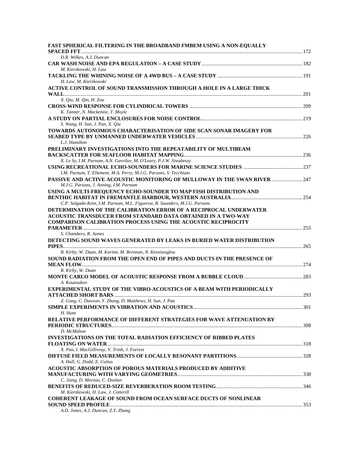| <b>FAST SPHERICAL FILTERING IN THE BROADBAND FMBEM USING A NON-EQUALLY</b>   |      |
|------------------------------------------------------------------------------|------|
|                                                                              |      |
| D.R. Wilkes, A.J. Duncan                                                     |      |
| M. Kierzkowski, H. Law                                                       |      |
| H. Law, M. Kierzkowski                                                       |      |
| ACTIVE CONTROL OF SOUND TRANSMISSION THROUGH A HOLE IN A LARGE THICK         |      |
|                                                                              |      |
| X. Qiu, M. Qin, H. Zou                                                       |      |
|                                                                              |      |
| K. Tanner, N. Mackenzie, T. Moyle                                            |      |
| S. Wang, H. Sun, J. Pan, X. Qiu                                              |      |
| TOWARDS AUTONOMOUS CHARACTERISATION OF SIDE SCAN SONAR IMAGERY FOR           |      |
|                                                                              |      |
| L.J. Hamilton                                                                |      |
| PRELIMINARY INVESTIGATIONS INTO THE REPEATABILITY OF MULTIBEAM               |      |
| X. Le Sy, I.M. Parnum, A.N. Gavrilov, M. O'Leary, P.J.W. Siwabessy           |      |
|                                                                              |      |
| I.M. Parnum, T. Ellement, M.A. Perry, M.J.G. Parsons, S. Tecchiato           |      |
| PASSIVE AND ACTIVE ACOUSTIC MONITORING OF MULLOWAY IN THE SWAN RIVER  247    |      |
| M.J.G. Parsons, J. Anning, I.M. Parnum                                       |      |
| USING A MULTI-FREQUENCY ECHO-SOUNDER TO MAP FISH DISTRIBUTION AND            |      |
|                                                                              |      |
| C.P. Salgado-Kent, I.M. Parnum, M.L. Figueroa, B. Saunders, M.J.G. Parsons   |      |
| DETERMINATION OF THE CALIBRATION ERROR OF A RECIPROCAL UNDERWATER            |      |
| ACOUSTIC TRANSDUCER FROM STANDARD DATA OBTAINED IN A TWO-WAY                 |      |
| <b>COMPARISON CALIBRATION PROCESS USING THE ACOUSTIC RECIPROCITY</b>         |      |
|                                                                              |      |
| S. Chambers, R. James                                                        |      |
| DETECTING SOUND WAVES GENERATED BY LEAKS IN BURIED WATER DISTRIBUTION        |      |
| R. Kirby, W. Duan, M. Karimi, M. Brennan, N. Kessissoglou                    |      |
| SOUND RADIATION FROM THE OPEN END OF PIPES AND DUCTS IN THE PRESENCE OF      |      |
|                                                                              |      |
| R. Kirby, W. Duan                                                            |      |
|                                                                              |      |
| A. Kouzoubov                                                                 |      |
| <b>EXPERIMENTAL STUDY OF THE VIBRO-ACOUSTICS OF A BEAM WITH PERIODICALLY</b> |      |
|                                                                              |      |
| Z. Gong, C. Dawson, Y. Zhang, D. Matthews, H. Sun, J. Pan                    |      |
|                                                                              | .301 |
| H. Hunt                                                                      |      |
| <b>RELATIVE PERFORMANCE OF DIFFERENT STRATEGIES FOR WAVE ATTENUATION BY</b>  |      |
|                                                                              |      |
| D. McMahon                                                                   |      |
| <b>INVESTIGATIONS ON THE TOTAL RADIATION EFFICIENCY OF RIBBED PLATES</b>     |      |
|                                                                              |      |
| X. Pan, I. MacGillivray, V. Trinh, J. Forrest                                |      |
| A. Hall, G. Dodd, E. Calius                                                  |      |
| <b>ACOUSTIC ABSORPTION OF POROUS MATERIALS PRODUCED BY ADDITIVE</b>          |      |
|                                                                              |      |
| C. Jiang, D. Moreau, C. Doolan                                               |      |
|                                                                              |      |
| M. Kierzkowski, H. Law, J. Cotterill                                         |      |
| <b>COHERENT LEAKAGE OF SOUND FROM OCEAN SURFACE DUCTS OF NONLINEAR</b>       |      |
|                                                                              |      |
| A.D. Jones, A.J. Duncan, Z.Y. Zhang                                          |      |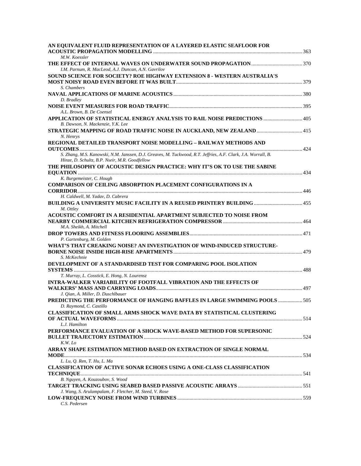| AN EQUIVALENT FLUID REPRESENTATION OF A LAYERED ELASTIC SEAFLOOR FOR                                                                                            |  |
|-----------------------------------------------------------------------------------------------------------------------------------------------------------------|--|
| M.W. Koessler                                                                                                                                                   |  |
| I.M. Parnum, R. MacLeod, A.J. Duncan, A.N. Gavrilov                                                                                                             |  |
| <b>SOUND SCIENCE FOR SOCIETY? ROE HIGHWAY EXTENSION 8 - WESTERN AUSTRALIA'S</b>                                                                                 |  |
| S. Chambers                                                                                                                                                     |  |
| D. Bradley                                                                                                                                                      |  |
| A.L. Brown, B. De Coensel                                                                                                                                       |  |
| APPLICATION OF STATISTICAL ENERGY ANALYSIS TO RAIL NOISE PREDICTIONS  405<br>B. Dawson, N. Mackenzie, Y.K. Lee                                                  |  |
| STRATEGIC MAPPING OF ROAD TRAFFIC NOISE IN AUCKLAND, NEW ZEALAND  415<br>N. Henrys                                                                              |  |
| REGIONAL DETAILED TRANSPORT NOISE MODELLING - RAILWAY METHODS AND                                                                                               |  |
| S. Zhang, M.S. Kanowski, N.M. Janssen, D.J. Greaves, M. Tuckwood, R.T. Jeffries, A.F. Clark, J.A. Worrall, B.<br>Hinze, D. Schultz, B.P. Nseir, M.R. Goodfellow |  |
| THE PHILOSOPHY OF ACOUSTIC DESIGN PRACTICE: WHY IT'S OK TO USE THE SABINE                                                                                       |  |
| K. Burgemeister, C. Hough                                                                                                                                       |  |
| COMPARISON OF CEILING ABSORPTION PLACEMENT CONFIGURATIONS IN A                                                                                                  |  |
| H. Caldwell, M. Yadav, D. Cabrera<br><b>BUILDING A UNIVERSITY MUSIC FACILITY IN A REUSED PRINTERY BUILDING  455</b>                                             |  |
| M. Ottley                                                                                                                                                       |  |
| ACOUSTIC COMFORT IN A RESIDENTIAL APARTMENT SUBJECTED TO NOISE FROM<br>M.A. Sheikh, A. Mitchell                                                                 |  |
|                                                                                                                                                                 |  |
| P. Gartenburg, M. Golden                                                                                                                                        |  |
| WHAT'S THAT CREAKING NOISE? AN INVESTIGATION OF WIND-INDUCED STRUCTURE-                                                                                         |  |
| S. McKechnie<br>DEVELOPMENT OF A STANDARDISED TEST FOR COMPARING POOL ISOLATION                                                                                 |  |
| T. Murray, L. Cosstick, E. Hong, N. Lourensz                                                                                                                    |  |
| <b>INTRA-WALKER VARIABILITY OF FOOTFALL VIBRATION AND THE EFFECTS OF</b>                                                                                        |  |
| J. Qian, A. Miller, D. Duschlbauer                                                                                                                              |  |
| PREDICTING THE PERFORMANCE OF HANGING BAFFLES IN LARGE SWIMMING POOLS  505<br>D. Raymond, C. Castillo                                                           |  |
| <b>CLASSIFICATION OF SMALL ARMS SHOCK WAVE DATA BY STATISTICAL CLUSTERING</b>                                                                                   |  |
| L.J. Hamilton                                                                                                                                                   |  |
| PERFORMANCE EVALUATION OF A SHOCK WAVE-BASED METHOD FOR SUPERSONIC                                                                                              |  |
| K.W. Lo                                                                                                                                                         |  |
| ARRAY SHAPE ESTIMATION METHOD BASED ON EXTRACTION OF SINGLE NORMAL                                                                                              |  |
| L. Lu, Q. Ren, T. Hu, L. Ma                                                                                                                                     |  |
| <b>CLASSIFICATION OF ACTIVE SONAR ECHOES USING A ONE-CLASS CLASSIFICATION</b>                                                                                   |  |
| B. Nguyen, A. Kouzoubov, S. Wood                                                                                                                                |  |
|                                                                                                                                                                 |  |
| J. Wang, S. Arulampalam, F. Fletcher, M. Steed, V. Rose                                                                                                         |  |
| C.S. Pedersen                                                                                                                                                   |  |